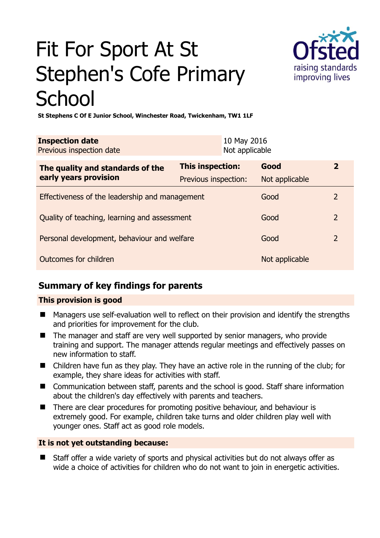# Fit For Sport At St Stephen's Cofe Primary **School**



**St Stephens C Of E Junior School, Winchester Road, Twickenham, TW1 1LF** 

| <b>Inspection date</b><br>Previous inspection date        |                                                 |  | 10 May 2016<br>Not applicable |                |
|-----------------------------------------------------------|-------------------------------------------------|--|-------------------------------|----------------|
| The quality and standards of the<br>early years provision | <b>This inspection:</b><br>Previous inspection: |  | Good<br>Not applicable        | $\overline{2}$ |
| Effectiveness of the leadership and management            |                                                 |  | Good                          | 2              |
| Quality of teaching, learning and assessment              |                                                 |  | Good                          | $\overline{2}$ |
| Personal development, behaviour and welfare               |                                                 |  | Good                          | $\overline{2}$ |
| Outcomes for children                                     |                                                 |  | Not applicable                |                |

## **Summary of key findings for parents**

#### **This provision is good**

- Managers use self-evaluation well to reflect on their provision and identify the strengths and priorities for improvement for the club.
- The manager and staff are very well supported by senior managers, who provide training and support. The manager attends regular meetings and effectively passes on new information to staff.
- Children have fun as they play. They have an active role in the running of the club; for example, they share ideas for activities with staff.
- Communication between staff, parents and the school is good. Staff share information about the children's day effectively with parents and teachers.
- There are clear procedures for promoting positive behaviour, and behaviour is extremely good. For example, children take turns and older children play well with younger ones. Staff act as good role models.

### **It is not yet outstanding because:**

 Staff offer a wide variety of sports and physical activities but do not always offer as wide a choice of activities for children who do not want to join in energetic activities.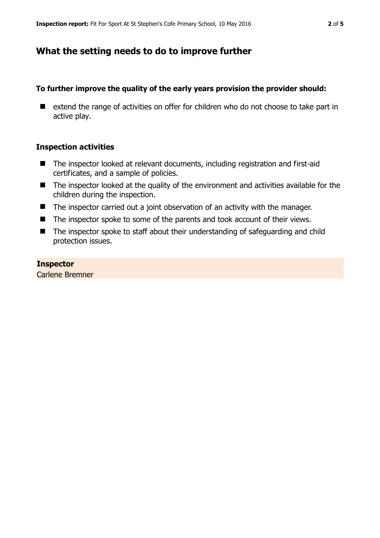## **What the setting needs to do to improve further**

#### **To further improve the quality of the early years provision the provider should:**

■ extend the range of activities on offer for children who do not choose to take part in active play.

#### **Inspection activities**

- The inspector looked at relevant documents, including registration and first-aid certificates, and a sample of policies.
- The inspector looked at the quality of the environment and activities available for the children during the inspection.
- The inspector carried out a joint observation of an activity with the manager.
- The inspector spoke to some of the parents and took account of their views.
- The inspector spoke to staff about their understanding of safeguarding and child protection issues.

#### **Inspector**

Carlene Bremner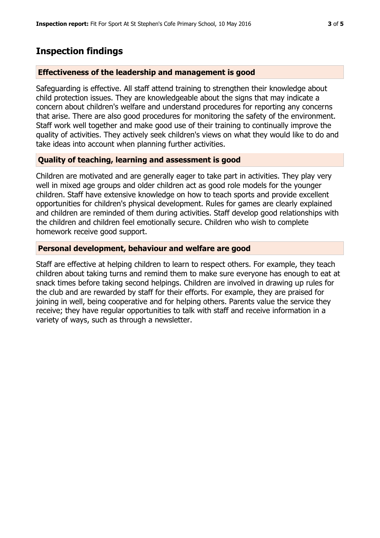## **Inspection findings**

#### **Effectiveness of the leadership and management is good**

Safeguarding is effective. All staff attend training to strengthen their knowledge about child protection issues. They are knowledgeable about the signs that may indicate a concern about children's welfare and understand procedures for reporting any concerns that arise. There are also good procedures for monitoring the safety of the environment. Staff work well together and make good use of their training to continually improve the quality of activities. They actively seek children's views on what they would like to do and take ideas into account when planning further activities.

#### **Quality of teaching, learning and assessment is good**

Children are motivated and are generally eager to take part in activities. They play very well in mixed age groups and older children act as good role models for the younger children. Staff have extensive knowledge on how to teach sports and provide excellent opportunities for children's physical development. Rules for games are clearly explained and children are reminded of them during activities. Staff develop good relationships with the children and children feel emotionally secure. Children who wish to complete homework receive good support.

#### **Personal development, behaviour and welfare are good**

Staff are effective at helping children to learn to respect others. For example, they teach children about taking turns and remind them to make sure everyone has enough to eat at snack times before taking second helpings. Children are involved in drawing up rules for the club and are rewarded by staff for their efforts. For example, they are praised for joining in well, being cooperative and for helping others. Parents value the service they receive; they have regular opportunities to talk with staff and receive information in a variety of ways, such as through a newsletter.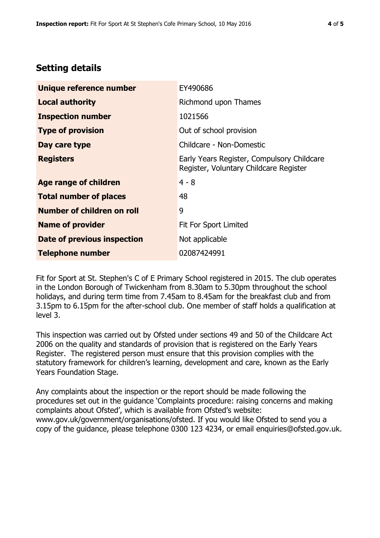## **Setting details**

| Unique reference number       | EY490686                                                                             |  |
|-------------------------------|--------------------------------------------------------------------------------------|--|
| <b>Local authority</b>        | Richmond upon Thames                                                                 |  |
| <b>Inspection number</b>      | 1021566                                                                              |  |
| <b>Type of provision</b>      | Out of school provision                                                              |  |
| Day care type                 | Childcare - Non-Domestic                                                             |  |
| <b>Registers</b>              | Early Years Register, Compulsory Childcare<br>Register, Voluntary Childcare Register |  |
| <b>Age range of children</b>  | $4 - 8$                                                                              |  |
| <b>Total number of places</b> | 48                                                                                   |  |
| Number of children on roll    | 9                                                                                    |  |
| <b>Name of provider</b>       | Fit For Sport Limited                                                                |  |
| Date of previous inspection   | Not applicable                                                                       |  |
| <b>Telephone number</b>       | 02087424991                                                                          |  |

Fit for Sport at St. Stephen's C of E Primary School registered in 2015. The club operates in the London Borough of Twickenham from 8.30am to 5.30pm throughout the school holidays, and during term time from 7.45am to 8.45am for the breakfast club and from 3.15pm to 6.15pm for the after-school club. One member of staff holds a qualification at level 3.

This inspection was carried out by Ofsted under sections 49 and 50 of the Childcare Act 2006 on the quality and standards of provision that is registered on the Early Years Register. The registered person must ensure that this provision complies with the statutory framework for children's learning, development and care, known as the Early Years Foundation Stage.

Any complaints about the inspection or the report should be made following the procedures set out in the guidance 'Complaints procedure: raising concerns and making complaints about Ofsted', which is available from Ofsted's website: www.gov.uk/government/organisations/ofsted. If you would like Ofsted to send you a copy of the guidance, please telephone 0300 123 4234, or email enquiries@ofsted.gov.uk.